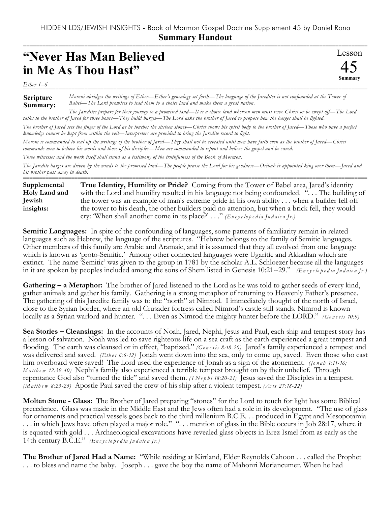## HIDDEN LDS/JEWISH INSIGHTS - Book of Mormon Gospel Doctrine Supplement 45 by Daniel Rona **Summary Handout**

## **"Never Has Man Believed in Me As Thou Hast"**

*Ether 1–6* ===========================================================================================================

**Scripture Summary:** *Moroni abridges the writings of Ether—Ether's genealogy set forth—The language of the Jaredites is not confounded at the Tower of Babel—The Lord promises to lead them to a choice land and make them a great nation.*

*The Jaredites prepare for their journey to a promised land—It is a choice land whereon men must serve Christ or be swept off—The Lord talks to the brother of Jared for three hours—They build barges—The Lord asks the brother of Jared to propose how the barges shall be lighted.*

*The brother of Jared sees the finger of the Lord as he touches the sixteen stones—Christ shows his spirit body to the brother of Jared—Those who have a perfect knowledge cannot be kept from within the veil—Interpreters are provided to bring the Jaredite record to light.*

*Moroni is commanded to seal up the writings of the brother of Jared—They shall not be revealed until men have faith even as the brother of Jared—Christ commands men to believe his words and those of his disciples—Men are commanded to repent and believe the gospel and be saved.*

*Three witnesses and the work itself shall stand as a testimony of the truthfulness of the Book of Mormon.*

*The Jaredite barges are driven by the winds to the promised land—The people praise the Lord for his goodness—Orihah is appointed king over them—Jared and his brother pass away in death.*

=========================================================================================================== **True Identity, Humility or Pride?** Coming from the Tower of Babel area, Jared's identity with the Lord and humility resulted in his language not being confounded. ". . . The building of the tower was an example of man's extreme pride in his own ability . . . when a builder fell off the tower to his death, the other builders paid no attention, but when a brick fell, they would cry: 'When shall another come in its place?' . . ." *(En c y c lo p e d ia Ju d a ic a Jr.)* **Supplemental Holy Land and Jewish insights:**

**Semitic Languages:** In spite of the confounding of languages, some patterns of familiarity remain in related languages such as Hebrew, the language of the scriptures. "Hebrew belongs to the family of Semitic languages. Other members of this family are Arabic and Aramaic, and it is assumed that they all evolved from one language which is known as 'proto-Semitic.' Among other connected languages were Ugaritic and Akkadian which are extinct. The name 'Semitic' was given to the group in 1781 by the scholar A.L. Schloezer because all the languages in it are spoken by peoples included among the sons of Shem listed in Genesis 10:21--29." *(En c y c lo p e d ia Ju d a ic a Jr.)*

**Gathering – a Metaphor:** The brother of Jared listened to the Lord as he was told to gather seeds of every kind, gather animals and gather his family. Gathering is a strong metaphor of returning to Heavenly Father's presence. The gathering of this Jaredite family was to the "north" at Nimrod. I immediately thought of the north of Israel, close to the Syrian border, where an old Crusader fortress called Nimrod's castle still stands. Nimrod is known locally as a Syrian warlord and hunter. "... Even as Nimrod the mighty hunter before the LORD." *(Genesis 10:9)* 

**Sea Stories – Cleansings:** In the accounts of Noah, Jared, Nephi, Jesus and Paul, each ship and tempest story has a lesson of salvation. Noah was led to save righteous life on a sea craft as the earth experienced a great tempest and flooding. The earth was cleansed or in effect, "baptized." *(Ge n e s is 8:18-20)* Jared's family experienced a tempest and was delivered and saved. *(Ether 6:6-12)* Jonah went down into the sea, only to come up, saved. Even those who cast him overboard were saved! The Lord used the experience of Jonah as a sign of the atonement. *(Jonah 1:11-16; M a tth e w 12:39-40)* Nephi's family also experienced a terrible tempest brought on by their unbelief. Through repentance God also "turned the tide" and saved them. *(1 Nephi 18:20-21)* Jesus saved the Disciples in a tempest. *(M a tth e w 8:23-25)* Apostle Paul saved the crew of his ship after a violent tempest. *(Ac ts 27:18-22)*

**Molten Stone - Glass:** The Brother of Jared preparing "stones" for the Lord to touch for light has some Biblical precedence. Glass was made in the Middle East and the Jews often had a role in its development. "The use of glass for ornaments and practical vessels goes back to the third millenium B.C.E. . . produced in Egypt and Mesopotamia . . . in which Jews have often played a major role." ". . . mention of glass in the Bible occurs in Job 28:17, where it is equated with gold . . . Archaeological excavations have revealed glass objects in Erez Israel from as early as the 14th century B.C.E." *(En c y c lo p e d ia Ju d a ic a Jr.)*

**The Brother of Jared Had a Name:** "While residing at Kirtland, Elder Reynolds Cahoon . . . called the Prophet . . . to bless and name the baby. Joseph . . . gave the boy the name of Mahonri Moriancumer. When he had